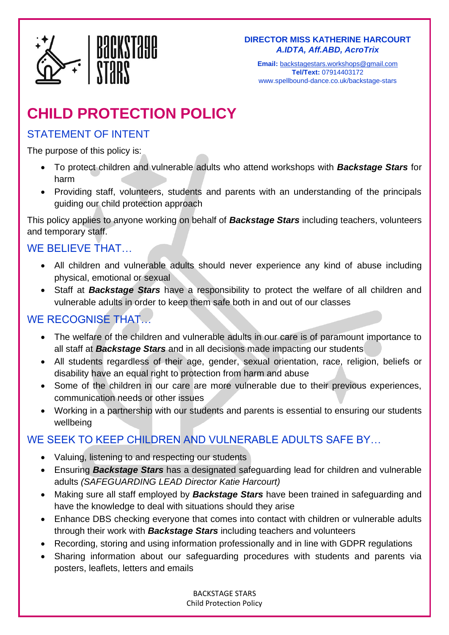

**Email:** [backstagestars.workshops@gmail.com](mailto:backstagestars.workshops@gmail.com) **Tel/Text:** 07914403172 www.spellbound-dance.co.uk/backstage-stars

# **CHILD PROTECTION POLICY**

#### STATEMENT OF INTENT

The purpose of this policy is:

- To protect children and vulnerable adults who attend workshops with *Backstage Stars* for harm
- Providing staff, volunteers, students and parents with an understanding of the principals guiding our child protection approach

This policy applies to anyone working on behalf of *Backstage Stars* including teachers, volunteers and temporary staff.

## WE BELIEVE THAT…

- All children and vulnerable adults should never experience any kind of abuse including physical, emotional or sexual
- Staff at *Backstage Stars* have a responsibility to protect the welfare of all children and vulnerable adults in order to keep them safe both in and out of our classes

### WE RECOGNISE THAT

- The welfare of the children and vulnerable adults in our care is of paramount importance to all staff at *Backstage Stars* and in all decisions made impacting our students
- All students regardless of their age, gender, sexual orientation, race, religion, beliefs or disability have an equal right to protection from harm and abuse
- Some of the children in our care are more vulnerable due to their previous experiences, communication needs or other issues
- Working in a partnership with our students and parents is essential to ensuring our students wellbeing

## WE SEEK TO KEEP CHILDREN AND VULNERABLE ADULTS SAFE BY…

- Valuing, listening to and respecting our students
- Ensuring *Backstage Stars* has a designated safeguarding lead for children and vulnerable adults *(SAFEGUARDING LEAD Director Katie Harcourt)*
- Making sure all staff employed by *Backstage Stars* have been trained in safeguarding and have the knowledge to deal with situations should they arise
- Enhance DBS checking everyone that comes into contact with children or vulnerable adults through their work with *Backstage Stars* including teachers and volunteers
- Recording, storing and using information professionally and in line with GDPR regulations
- Sharing information about our safeguarding procedures with students and parents via posters, leaflets, letters and emails

BACKSTAGE STARS Child Protection Policy